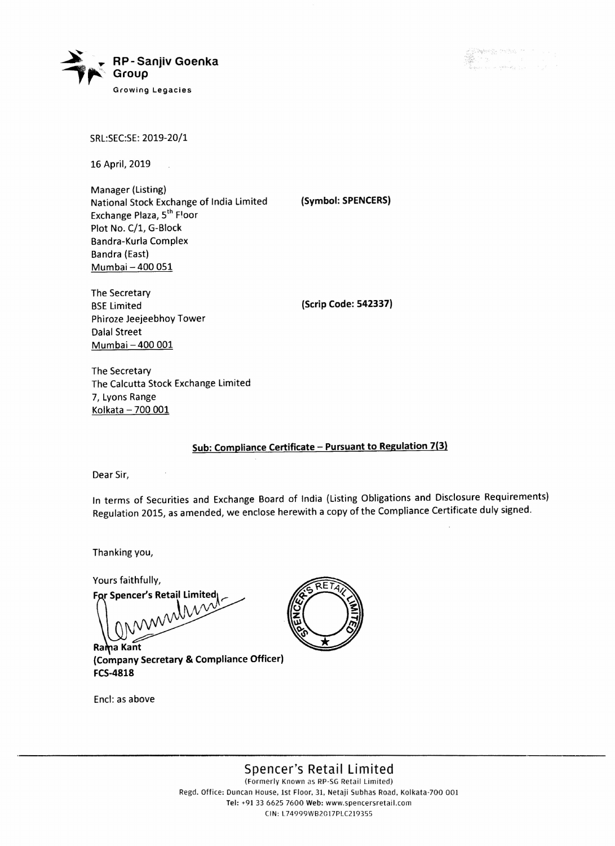

SRL:SEC:SE: 2019-20/1

16 April, 2019

Manager (Listing) National Stock Exchange of India Limited Exchange Plaza, 5<sup>th</sup> Floor Plot No. C/1, G-Block Bandra-Kurla Complex Bandra (East) Mumbai - 400 051

The Secretary **BSE** Limited Phiroze Jeejeebhoy Tower Dalal Street Mumbai - 400 001

(Scrip Code: 542337)

(Symbol: SPENCERS)

The Secretary The Calcutta Stock Exchange Limited 7, Lyons Range Kolkata  $-700001$ 

## Sub: Compliance Certificate - Pursuant to Regulation 7(3)

Dear Sir,

In terms of Securities and Exchange Board of India (Listing Obligations and Disclosure Requirements) Regulation 2015, as amended, we enclose herewith a copy of the Compliance Certificate duly signed.

Thanking you,

Yours faithfully,

For Spencer's Retail Limited

Rama Kant (Company Secretary & Compliance Officer) FCS-4818

Encl: as above



Spencer's Retail Limited (Formerly Known as RP-SG Retail Limited) Regd. Office: Duncan House, 1st Floor, 31, Netaji Subhas Road, Kolkata·700 001

Tel: +91 33 6625 7600 Web: www.spencersretail.com (IN: L74999WB2017PL(219355